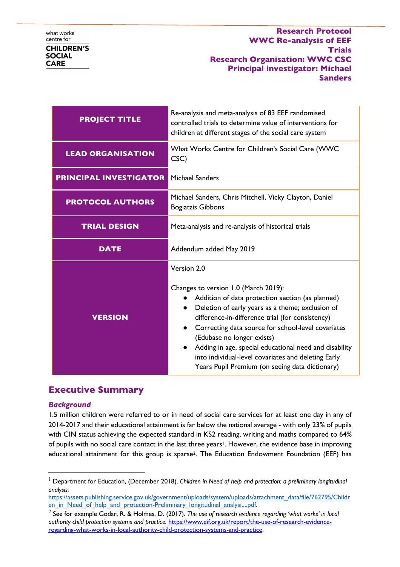| <b>PROJECT TITLE</b>          | Re-analysis and meta-analysis of 83 EEF randomised<br>controlled trials to determine value of interventions for<br>children at different stages of the social care system                                                                                                                                                                                                                                                                                                                         |
|-------------------------------|---------------------------------------------------------------------------------------------------------------------------------------------------------------------------------------------------------------------------------------------------------------------------------------------------------------------------------------------------------------------------------------------------------------------------------------------------------------------------------------------------|
| <b>LEAD ORGANISATION</b>      | What Works Centre for Children's Social Care (WWC<br>CSC)                                                                                                                                                                                                                                                                                                                                                                                                                                         |
| <b>PRINCIPAL INVESTIGATOR</b> | <b>Michael Sanders</b>                                                                                                                                                                                                                                                                                                                                                                                                                                                                            |
| <b>PROTOCOL AUTHORS</b>       | Michael Sanders, Chris Mitchell, Vicky Clayton, Daniel<br><b>Bogiatzis Gibbons</b>                                                                                                                                                                                                                                                                                                                                                                                                                |
| <b>TRIAL DESIGN</b>           | Meta-analysis and re-analysis of historical trials                                                                                                                                                                                                                                                                                                                                                                                                                                                |
| <b>DATE</b>                   | Addendum added May 2019                                                                                                                                                                                                                                                                                                                                                                                                                                                                           |
| <b>VERSION</b>                | Version 2.0<br>Changes to version 1.0 (March 2019):<br>Addition of data protection section (as planned)<br>$\bullet$<br>Deletion of early years as a theme; exclusion of<br>difference-in-difference trial (for consistency)<br>Correcting data source for school-level covariates<br>$\bullet$<br>(Edubase no longer exists)<br>Adding in age, special educational need and disability<br>into individual-level covariates and deleting Early<br>Years Pupil Premium (on seeing data dictionary) |

# **Executive Summary**

## *Background*

1.5 million children were referred to or in need of social care services for at least one day in any of 2014-2017 and their educational attainment is far below the national average - with only 23% of pupils with CIN status achieving the expected standard in KS2 reading, writing and maths compared to 64% of pupils with no social care contact in the last three years<sup>1</sup>. However, the evidence base in improving educational attainment for this group is sparse<sup>2</sup>. The Education Endowment Foundation (EEF) has

 <sup>1</sup> Department for Education, (December 2018). *Children in Need of help and protection: a preliminary longitudinal analysis.*

https://assets.publishing.service.gov.uk/government/uploads/system/uploads/attachment\_data/file/762795/Childr en in Need of help and protection-Preliminary longitudinal analysi....pdf.

<sup>2</sup> See for example Godar, R. & Holmes, D. (2017). *The use of research evidence regarding 'what works' in local authority child protection systems and practice.* https://www.eif.org.uk/report/the-use-of-research-evidenceregarding-what-works-in-local-authority-child-protection-systems-and-practice.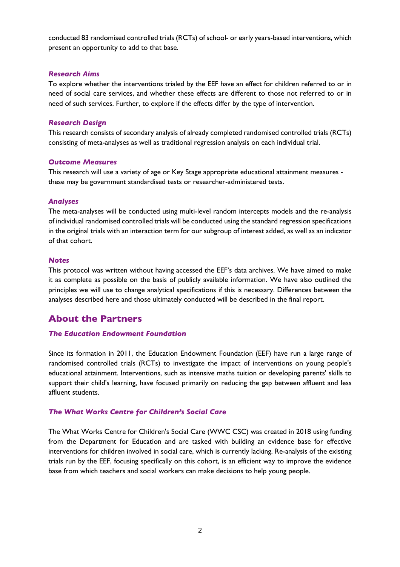conducted 83 randomised controlled trials (RCTs) of school- or early years-based interventions, which present an opportunity to add to that base.

#### *Research Aims*

To explore whether the interventions trialed by the EEF have an effect for children referred to or in need of social care services, and whether these effects are different to those not referred to or in need of such services. Further, to explore if the effects differ by the type of intervention.

#### *Research Design*

This research consists of secondary analysis of already completed randomised controlled trials (RCTs) consisting of meta-analyses as well as traditional regression analysis on each individual trial.

#### *Outcome Measures*

This research will use a variety of age or Key Stage appropriate educational attainment measures these may be government standardised tests or researcher-administered tests.

#### *Analyses*

The meta-analyses will be conducted using multi-level random intercepts models and the re-analysis of individual randomised controlled trials will be conducted using the standard regression specifications in the original trials with an interaction term for our subgroup of interest added, as well as an indicator of that cohort.

#### *Notes*

This protocol was written without having accessed the EEF's data archives. We have aimed to make it as complete as possible on the basis of publicly available information. We have also outlined the principles we will use to change analytical specifications if this is necessary. Differences between the analyses described here and those ultimately conducted will be described in the final report.

## **About the Partners**

#### *The Education Endowment Foundation*

Since its formation in 2011, the Education Endowment Foundation (EEF) have run a large range of randomised controlled trials (RCTs) to investigate the impact of interventions on young people's educational attainment. Interventions, such as intensive maths tuition or developing parents' skills to support their child's learning, have focused primarily on reducing the gap between affluent and less affluent students.

#### *The What Works Centre for Children's Social Care*

The What Works Centre for Children's Social Care (WWC CSC) was created in 2018 using funding from the Department for Education and are tasked with building an evidence base for effective interventions for children involved in social care, which is currently lacking. Re-analysis of the existing trials run by the EEF, focusing specifically on this cohort, is an efficient way to improve the evidence base from which teachers and social workers can make decisions to help young people.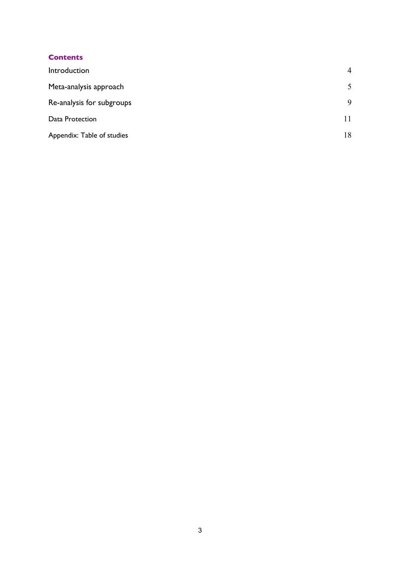## **Contents**

| Introduction               | $\overline{4}$ |
|----------------------------|----------------|
| Meta-analysis approach     | 5              |
| Re-analysis for subgroups  | 9              |
| Data Protection            | 11             |
| Appendix: Table of studies | 18             |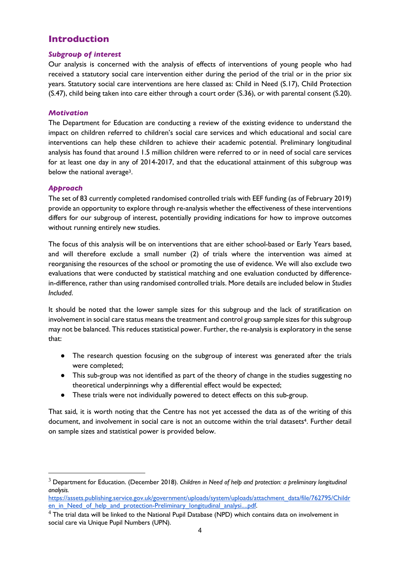# **Introduction**

## *Subgroup of interest*

Our analysis is concerned with the analysis of effects of interventions of young people who had received a statutory social care intervention either during the period of the trial or in the prior six years. Statutory social care interventions are here classed as: Child in Need (S.17), Child Protection (S.47), child being taken into care either through a court order (S.36), or with parental consent (S.20).

## *Motivation*

The Department for Education are conducting a review of the existing evidence to understand the impact on children referred to children's social care services and which educational and social care interventions can help these children to achieve their academic potential. Preliminary longitudinal analysis has found that around 1.5 million children were referred to or in need of social care services for at least one day in any of 2014-2017, and that the educational attainment of this subgroup was below the national average<sup>3</sup>.

## *Approach*

The set of 83 currently completed randomised controlled trials with EEF funding (as of February 2019) provide an opportunity to explore through re-analysis whether the effectiveness of these interventions differs for our subgroup of interest, potentially providing indications for how to improve outcomes without running entirely new studies.

The focus of this analysis will be on interventions that are either school-based or Early Years based, and will therefore exclude a small number (2) of trials where the intervention was aimed at reorganising the resources of the school or promoting the use of evidence. We will also exclude two evaluations that were conducted by statistical matching and one evaluation conducted by differencein-difference, rather than using randomised controlled trials. More details are included below in *Studies Included*.

It should be noted that the lower sample sizes for this subgroup and the lack of stratification on involvement in social care status means the treatment and control group sample sizes for this subgroup may not be balanced. This reduces statistical power. Further, the re-analysis is exploratory in the sense that:

- The research question focusing on the subgroup of interest was generated after the trials were completed;
- This sub-group was not identified as part of the theory of change in the studies suggesting no theoretical underpinnings why a differential effect would be expected;
- These trials were not individually powered to detect effects on this sub-group.

That said, it is worth noting that the Centre has not yet accessed the data as of the writing of this document, and involvement in social care is not an outcome within the trial datasets<sup>4</sup>. Further detail on sample sizes and statistical power is provided below.

 <sup>3</sup> Department for Education. (December 2018). *Children in Need of help and protection: a preliminary longitudinal analysis.* 

https://assets.publishing.service.gov.uk/government/uploads/system/uploads/attachment\_data/file/762795/Childr en in Need of help and protection-Preliminary longitudinal analysi....pdf.

 $4$  The trial data will be linked to the National Pupil Database (NPD) which contains data on involvement in social care via Unique Pupil Numbers (UPN).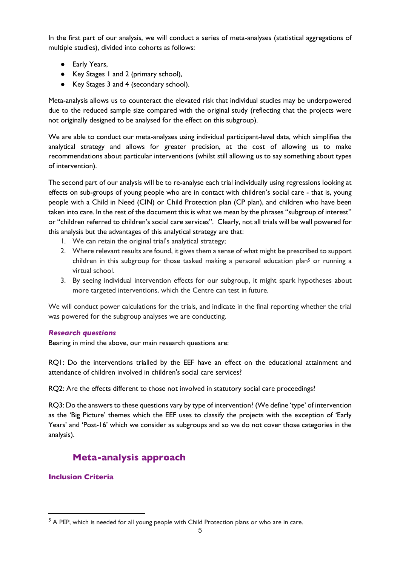In the first part of our analysis, we will conduct a series of meta-analyses (statistical aggregations of multiple studies), divided into cohorts as follows:

- Early Years,
- Key Stages 1 and 2 (primary school),
- Key Stages 3 and 4 (secondary school).

Meta-analysis allows us to counteract the elevated risk that individual studies may be underpowered due to the reduced sample size compared with the original study (reflecting that the projects were not originally designed to be analysed for the effect on this subgroup).

We are able to conduct our meta-analyses using individual participant-level data, which simplifies the analytical strategy and allows for greater precision, at the cost of allowing us to make recommendations about particular interventions (whilst still allowing us to say something about types of intervention).

The second part of our analysis will be to re-analyse each trial individually using regressions looking at effects on sub-groups of young people who are in contact with children's social care - that is, young people with a Child in Need (CIN) or Child Protection plan (CP plan), and children who have been taken into care. In the rest of the document this is what we mean by the phrases "subgroup of interest" or "children referred to children's social care services". Clearly, not all trials will be well powered for this analysis but the advantages of this analytical strategy are that:

- 1. We can retain the original trial's analytical strategy;
- 2. Where relevant results are found, it gives them a sense of what might be prescribed to support children in this subgroup for those tasked making a personal education plan<sup>5</sup> or running a virtual school.
- 3. By seeing individual intervention effects for our subgroup, it might spark hypotheses about more targeted interventions, which the Centre can test in future.

We will conduct power calculations for the trials, and indicate in the final reporting whether the trial was powered for the subgroup analyses we are conducting.

## *Research questions*

Bearing in mind the above, our main research questions are:

RQ1: Do the interventions trialled by the EEF have an effect on the educational attainment and attendance of children involved in children's social care services?

RQ2: Are the effects different to those not involved in statutory social care proceedings?

RQ3: Do the answers to these questions vary by type of intervention? (We define 'type' of intervention as the 'Big Picture' themes which the EEF uses to classify the projects with the exception of 'Early Years' and 'Post-16' which we consider as subgroups and so we do not cover those categories in the analysis).

# **Meta-analysis approach**

## **Inclusion Criteria**

 $5$  A PEP, which is needed for all young people with Child Protection plans or who are in care.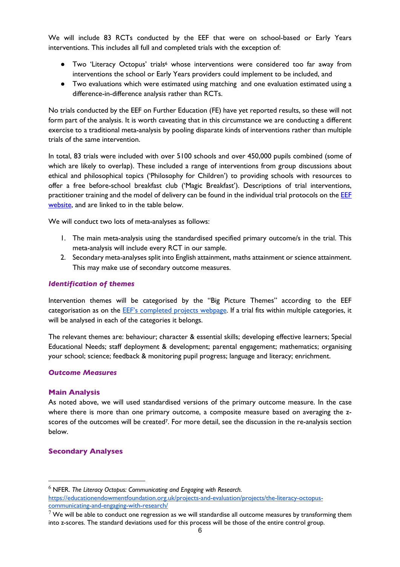We will include 83 RCTs conducted by the EEF that were on school-based or Early Years interventions. This includes all full and completed trials with the exception of:

- Two 'Literacy Octopus' trials<sup>6</sup> whose interventions were considered too far away from interventions the school or Early Years providers could implement to be included, and
- Two evaluations which were estimated using matching and one evaluation estimated using a difference-in-difference analysis rather than RCTs.

No trials conducted by the EEF on Further Education (FE) have yet reported results, so these will not form part of the analysis. It is worth caveating that in this circumstance we are conducting a different exercise to a traditional meta-analysis by pooling disparate kinds of interventions rather than multiple trials of the same intervention.

In total, 83 trials were included with over 5100 schools and over 450,000 pupils combined (some of which are likely to overlap). These included a range of interventions from group discussions about ethical and philosophical topics ('Philosophy for Children') to providing schools with resources to offer a free before-school breakfast club ('Magic Breakfast'). Descriptions of trial interventions, practitioner training and the model of delivery can be found in the individual trial protocols on the EEF website, and are linked to in the table below.

We will conduct two lots of meta-analyses as follows:

- 1. The main meta-analysis using the standardised specified primary outcome/s in the trial. This meta-analysis will include every RCT in our sample.
- 2. Secondary meta-analyses split into English attainment, maths attainment or science attainment. This may make use of secondary outcome measures.

#### *Identification of themes*

Intervention themes will be categorised by the "Big Picture Themes" according to the EEF categorisation as on the EEF's completed projects webpage. If a trial fits within multiple categories, it will be analysed in each of the categories it belongs.

The relevant themes are: behaviour; character & essential skills; developing effective learners; Special Educational Needs; staff deployment & development; parental engagement; mathematics; organising your school; science; feedback & monitoring pupil progress; language and literacy; enrichment.

#### *Outcome Measures*

#### **Main Analysis**

As noted above, we will used standardised versions of the primary outcome measure. In the case where there is more than one primary outcome, a composite measure based on averaging the zscores of the outcomes will be created7. For more detail, see the discussion in the re-analysis section below.

#### **Secondary Analyses**

 <sup>6</sup> NFER. *The Literacy Octopus: Communicating and Engaging with Research.*  https://educationendowmentfoundation.org.uk/projects-and-evaluation/projects/the-literacy-octopuscommunicating-and-engaging-with-research/

 $7$  We will be able to conduct one regression as we will standardise all outcome measures by transforming them into z-scores. The standard deviations used for this process will be those of the entire control group.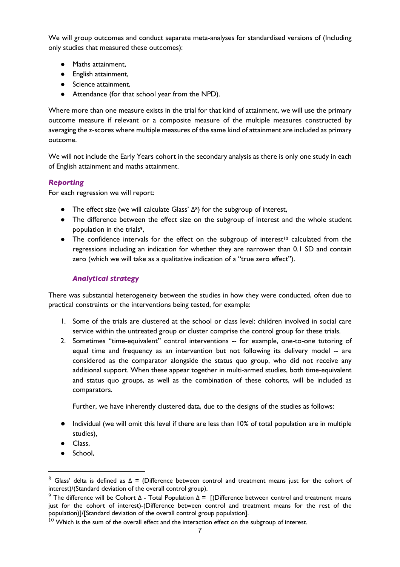We will group outcomes and conduct separate meta-analyses for standardised versions of (Including only studies that measured these outcomes):

- Maths attainment,
- English attainment,
- Science attainment,
- Attendance (for that school year from the NPD).

Where more than one measure exists in the trial for that kind of attainment, we will use the primary outcome measure if relevant or a composite measure of the multiple measures constructed by averaging the z-scores where multiple measures of the same kind of attainment are included as primary outcome.

We will not include the Early Years cohort in the secondary analysis as there is only one study in each of English attainment and maths attainment.

## *Reporting*

For each regression we will report:

- The effect size (we will calculate Glass' Δ8) for the subgroup of interest,
- The difference between the effect size on the subgroup of interest and the whole student population in the trials<sup>9</sup>,
- The confidence intervals for the effect on the subgroup of interest<sup>10</sup> calculated from the regressions including an indication for whether they are narrower than 0.1 SD and contain zero (which we will take as a qualitative indication of a "true zero effect").

## *Analytical strategy*

There was substantial heterogeneity between the studies in how they were conducted, often due to practical constraints or the interventions being tested, for example:

- 1. Some of the trials are clustered at the school or class level: children involved in social care service within the untreated group or cluster comprise the control group for these trials.
- 2. Sometimes "time-equivalent" control interventions -- for example, one-to-one tutoring of equal time and frequency as an intervention but not following its delivery model -- are considered as the comparator alongside the status quo group, who did not receive any additional support. When these appear together in multi-armed studies, both time-equivalent and status quo groups, as well as the combination of these cohorts, will be included as comparators.

Further, we have inherently clustered data, due to the designs of the studies as follows:

- Individual (we will omit this level if there are less than 10% of total population are in multiple studies),
- Class,
- School,

 $8$  Glass' delta is defined as Δ = (Difference between control and treatment means just for the cohort of interest)/(Standard deviation of the overall control group).

<sup>&</sup>lt;sup>9</sup> The difference will be Cohort Δ - Total Population  $Δ = [(Difference between control and treatment means]$ just for the cohort of interest)-(Difference between control and treatment means for the rest of the population)]/[Standard deviation of the overall control group population].

 $10$  Which is the sum of the overall effect and the interaction effect on the subgroup of interest.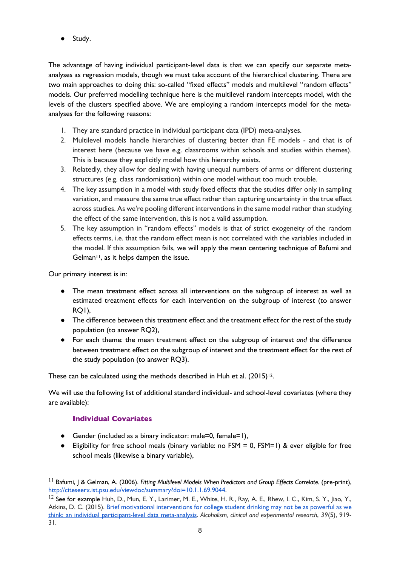● Study.

The advantage of having individual participant-level data is that we can specify our separate metaanalyses as regression models, though we must take account of the hierarchical clustering. There are two main approaches to doing this: so-called "fixed effects" models and multilevel "random effects" models. Our preferred modelling technique here is the multilevel random intercepts model, with the levels of the clusters specified above. We are employing a random intercepts model for the metaanalyses for the following reasons:

- 1. They are standard practice in individual participant data (IPD) meta-analyses.
- 2. Multilevel models handle hierarchies of clustering better than FE models and that is of interest here (because we have e.g. classrooms within schools and studies within themes). This is because they explicitly model how this hierarchy exists.
- 3. Relatedly, they allow for dealing with having unequal numbers of arms or different clustering structures (e.g. class randomisation) within one model without too much trouble.
- 4. The key assumption in a model with study fixed effects that the studies differ only in sampling variation, and measure the same true effect rather than capturing uncertainty in the true effect across studies. As we're pooling different interventions in the same model rather than studying the effect of the same intervention, this is not a valid assumption.
- 5. The key assumption in "random effects" models is that of strict exogeneity of the random effects terms, i.e. that the random effect mean is not correlated with the variables included in the model. If this assumption fails, we will apply the mean centering technique of Bafumi and Gelman<sup>11</sup>, as it helps dampen the issue.

Our primary interest is in:

- The mean treatment effect across all interventions on the subgroup of interest as well as estimated treatment effects for each intervention on the subgroup of interest (to answer RQ1),
- The difference between this treatment effect and the treatment effect for the rest of the study population (to answer RQ2),
- For each theme: the mean treatment effect on the subgroup of interest *and* the difference between treatment effect on the subgroup of interest and the treatment effect for the rest of the study population (to answer RQ3).

These can be calculated using the methods described in Huh et al.  $(2015)^{12}$ .

We will use the following list of additional standard individual- and school-level covariates (where they are available):

## **Individual Covariates**

- Gender (included as a binary indicator: male=0, female=1),
- Eligibility for free school meals (binary variable: no FSM = 0, FSM=1) & ever eligible for free school meals (likewise a binary variable),

 <sup>11</sup> Bafumi, J & Gelman, A. (2006). *Fitting Multilevel Models When Predictors and Group Effects Correlate.* (pre-print), http://citeseerx.ist.psu.edu/viewdoc/summary?doi=10.1.1.69.9044.

<sup>&</sup>lt;sup>12</sup> See for example Huh, D., Mun, E. Y., Larimer, M. E., White, H. R., Ray, A. E., Rhew, I. C., Kim, S. Y., Ijao, Y., Atkins, D. C. (2015). Brief motivational interventions for college student drinking may not be as powerful as we think: an individual participant-level data meta-analysis. *Alcoholism, clinical and experimental research*, *39*(5), 919- 31.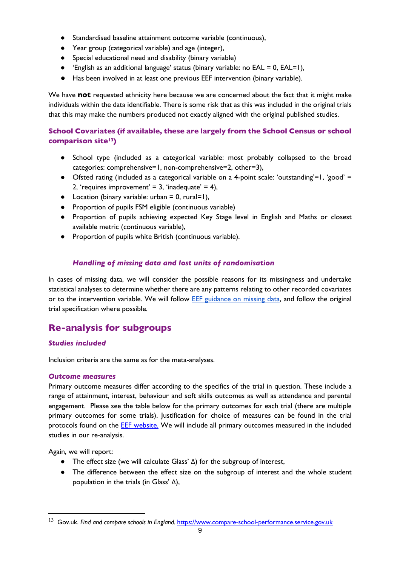- Standardised baseline attainment outcome variable (continuous),
- Year group (categorical variable) and age (integer),
- Special educational need and disability (binary variable)
- $\bullet$  'English as an additional language' status (binary variable: no EAL = 0, EAL=1),
- Has been involved in at least one previous EEF intervention (binary variable).

We have **not** requested ethnicity here because we are concerned about the fact that it might make individuals within the data identifiable. There is some risk that as this was included in the original trials that this may make the numbers produced not exactly aligned with the original published studies.

## **School Covariates (if available, these are largely from the School Census or school comparison site13)**

- School type (included as a categorical variable: most probably collapsed to the broad categories: comprehensive=1, non-comprehensive=2, other=3),
- Ofsted rating (included as a categorical variable on a 4-point scale: 'outstanding'=1, 'good' = 2, 'requires improvement' = 3, 'inadequate' = 4),
- $\bullet$  Location (binary variable: urban = 0, rural=1),
- Proportion of pupils FSM eligible (continuous variable)
- Proportion of pupils achieving expected Key Stage level in English and Maths or closest available metric (continuous variable),
- Proportion of pupils white British (continuous variable).

## *Handling of missing data and lost units of randomisation*

In cases of missing data, we will consider the possible reasons for its missingness and undertake statistical analyses to determine whether there are any patterns relating to other recorded covariates or to the intervention variable. We will follow EEF guidance on missing data, and follow the original trial specification where possible.

# **Re-analysis for subgroups**

## *Studies included*

Inclusion criteria are the same as for the meta-analyses.

## *Outcome measures*

Primary outcome measures differ according to the specifics of the trial in question. These include a range of attainment, interest, behaviour and soft skills outcomes as well as attendance and parental engagement. Please see the table below for the primary outcomes for each trial (there are multiple primary outcomes for some trials). Justification for choice of measures can be found in the trial protocols found on the EEF website. We will include all primary outcomes measured in the included studies in our re-analysis.

Again, we will report:

- The effect size (we will calculate Glass' Δ) for the subgroup of interest,
- The difference between the effect size on the subgroup of interest and the whole student population in the trials (in Glass' Δ),

<sup>&</sup>lt;sup>13</sup> Gov.uk. Find and compare schools in England. https://www.compare-school-performance.service.gov.uk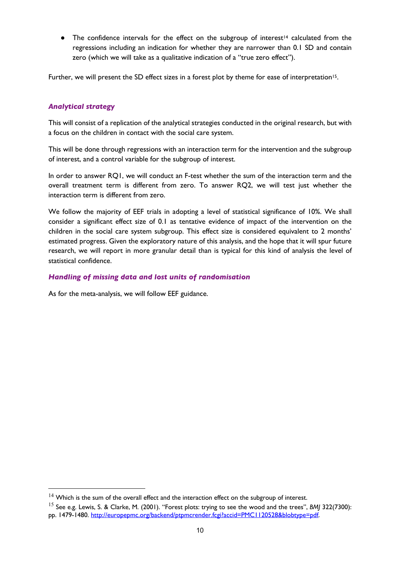• The confidence intervals for the effect on the subgroup of interest<sup>14</sup> calculated from the regressions including an indication for whether they are narrower than 0.1 SD and contain zero (which we will take as a qualitative indication of a "true zero effect").

Further, we will present the SD effect sizes in a forest plot by theme for ease of interpretation<sup>15</sup>.

## *Analytical strategy*

This will consist of a replication of the analytical strategies conducted in the original research, but with a focus on the children in contact with the social care system.

This will be done through regressions with an interaction term for the intervention and the subgroup of interest, and a control variable for the subgroup of interest.

In order to answer RQ1, we will conduct an F-test whether the sum of the interaction term and the overall treatment term is different from zero. To answer RQ2, we will test just whether the interaction term is different from zero.

We follow the majority of EEF trials in adopting a level of statistical significance of 10%. We shall consider a significant effect size of 0.1 as tentative evidence of impact of the intervention on the children in the social care system subgroup. This effect size is considered equivalent to 2 months' estimated progress. Given the exploratory nature of this analysis, and the hope that it will spur future research, we will report in more granular detail than is typical for this kind of analysis the level of statistical confidence.

#### *Handling of missing data and lost units of randomisation*

As for the meta-analysis, we will follow EEF guidance.

 $14$  Which is the sum of the overall effect and the interaction effect on the subgroup of interest.

<sup>15</sup> See e.g. Lewis, S. & Clarke, M. (2001). "Forest plots: trying to see the wood and the trees", *BMJ* 322(7300): pp. 1479-1480. http://europepmc.org/backend/ptpmcrender.fcgi?accid=PMC1120528&blobtype=pdf.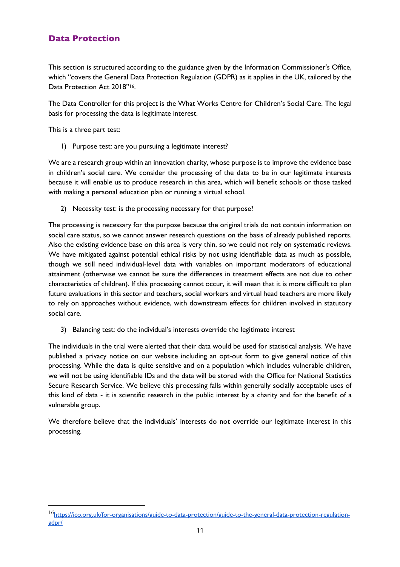## **Data Protection**

This section is structured according to the guidance given by the Information Commissioner's Office, which "covers the General Data Protection Regulation (GDPR) as it applies in the UK, tailored by the Data Protection Act 2018"<sup>16</sup>.

The Data Controller for this project is the What Works Centre for Children's Social Care. The legal basis for processing the data is legitimate interest.

This is a three part test:

1) Purpose test: are you pursuing a legitimate interest?

We are a research group within an innovation charity, whose purpose is to improve the evidence base in children's social care. We consider the processing of the data to be in our legitimate interests because it will enable us to produce research in this area, which will benefit schools or those tasked with making a personal education plan or running a virtual school.

2) Necessity test: is the processing necessary for that purpose?

The processing is necessary for the purpose because the original trials do not contain information on social care status, so we cannot answer research questions on the basis of already published reports. Also the existing evidence base on this area is very thin, so we could not rely on systematic reviews. We have mitigated against potential ethical risks by not using identifiable data as much as possible, though we still need individual-level data with variables on important moderators of educational attainment (otherwise we cannot be sure the differences in treatment effects are not due to other characteristics of children). If this processing cannot occur, it will mean that it is more difficult to plan future evaluations in this sector and teachers, social workers and virtual head teachers are more likely to rely on approaches without evidence, with downstream effects for children involved in statutory social care.

3) Balancing test: do the individual's interests override the legitimate interest

The individuals in the trial were alerted that their data would be used for statistical analysis. We have published a privacy notice on our website including an opt-out form to give general notice of this processing. While the data is quite sensitive and on a population which includes vulnerable children, we will not be using identifiable IDs and the data will be stored with the Office for National Statistics Secure Research Service. We believe this processing falls within generally socially acceptable uses of this kind of data - it is scientific research in the public interest by a charity and for the benefit of a vulnerable group.

We therefore believe that the individuals' interests do not override our legitimate interest in this processing.

<sup>16</sup>https://ico.org.uk/for-organisations/guide-to-data-protection/guide-to-the-general-data-protection-regulationgdpr/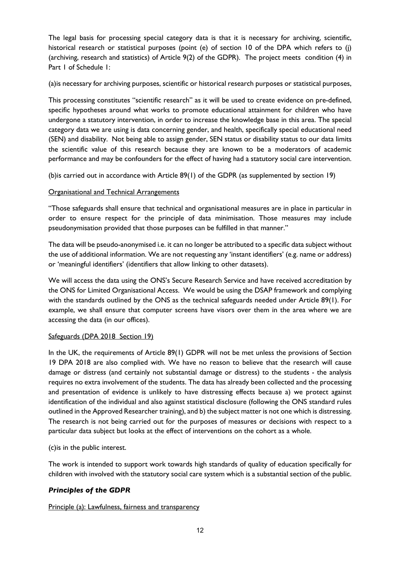The legal basis for processing special category data is that it is necessary for archiving, scientific, historical research or statistical purposes (point (e) of section 10 of the DPA which refers to (i) (archiving, research and statistics) of Article 9(2) of the GDPR). The project meets condition (4) in Part 1 of Schedule 1:

(a)is necessary for archiving purposes, scientific or historical research purposes or statistical purposes,

This processing constitutes "scientific research" as it will be used to create evidence on pre-defined, specific hypotheses around what works to promote educational attainment for children who have undergone a statutory intervention, in order to increase the knowledge base in this area. The special category data we are using is data concerning gender, and health, specifically special educational need (SEN) and disability. Not being able to assign gender, SEN status or disability status to our data limits the scientific value of this research because they are known to be a moderators of academic performance and may be confounders for the effect of having had a statutory social care intervention.

(b)is carried out in accordance with Article 89(1) of the GDPR (as supplemented by section 19)

## Organisational and Technical Arrangements

"Those safeguards shall ensure that technical and organisational measures are in place in particular in order to ensure respect for the principle of data minimisation. Those measures may include pseudonymisation provided that those purposes can be fulfilled in that manner."

The data will be pseudo-anonymised i.e. it can no longer be attributed to a specific data subject without the use of additional information. We are not requesting any 'instant identifiers' (e.g. name or address) or 'meaningful identifiers' (identifiers that allow linking to other datasets).

We will access the data using the ONS's Secure Research Service and have received accreditation by the ONS for Limited Organisational Access. We would be using the DSAP framework and complying with the standards outlined by the ONS as the technical safeguards needed under Article 89(1). For example, we shall ensure that computer screens have visors over them in the area where we are accessing the data (in our offices).

## Safeguards (DPA 2018 Section 19)

In the UK, the requirements of Article 89(1) GDPR will not be met unless the provisions of Section 19 DPA 2018 are also complied with. We have no reason to believe that the research will cause damage or distress (and certainly not substantial damage or distress) to the students - the analysis requires no extra involvement of the students. The data has already been collected and the processing and presentation of evidence is unlikely to have distressing effects because a) we protect against identification of the individual and also against statistical disclosure (following the ONS standard rules outlined in the Approved Researcher training), and b) the subject matter is not one which is distressing. The research is not being carried out for the purposes of measures or decisions with respect to a particular data subject but looks at the effect of interventions on the cohort as a whole.

## (c)is in the public interest.

The work is intended to support work towards high standards of quality of education specifically for children with involved with the statutory social care system which is a substantial section of the public.

## *Principles of the GDPR*

Principle (a): Lawfulness, fairness and transparency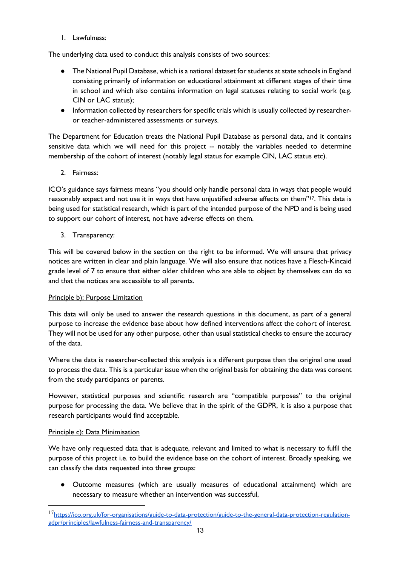1. Lawfulness:

The underlying data used to conduct this analysis consists of two sources:

- The National Pupil Database, which is a national dataset for students at state schools in England consisting primarily of information on educational attainment at different stages of their time in school and which also contains information on legal statuses relating to social work (e.g. CIN or LAC status);
- Information collected by researchers for specific trials which is usually collected by researcheror teacher-administered assessments or surveys.

The Department for Education treats the National Pupil Database as personal data, and it contains sensitive data which we will need for this project -- notably the variables needed to determine membership of the cohort of interest (notably legal status for example CIN, LAC status etc).

2. Fairness:

ICO's guidance says fairness means "you should only handle personal data in ways that people would reasonably expect and not use it in ways that have unjustified adverse effects on them"17. This data is being used for statistical research, which is part of the intended purpose of the NPD and is being used to support our cohort of interest, not have adverse effects on them.

3. Transparency:

This will be covered below in the section on the right to be informed. We will ensure that privacy notices are written in clear and plain language. We will also ensure that notices have a Flesch-Kincaid grade level of 7 to ensure that either older children who are able to object by themselves can do so and that the notices are accessible to all parents.

## Principle b): Purpose Limitation

This data will only be used to answer the research questions in this document, as part of a general purpose to increase the evidence base about how defined interventions affect the cohort of interest. They will not be used for any other purpose, other than usual statistical checks to ensure the accuracy of the data.

Where the data is researcher-collected this analysis is a different purpose than the original one used to process the data. This is a particular issue when the original basis for obtaining the data was consent from the study participants or parents.

However, statistical purposes and scientific research are "compatible purposes" to the original purpose for processing the data. We believe that in the spirit of the GDPR, it is also a purpose that research participants would find acceptable.

## Principle c): Data Minimisation

We have only requested data that is adequate, relevant and limited to what is necessary to fulfil the purpose of this project i.e. to build the evidence base on the cohort of interest. Broadly speaking, we can classify the data requested into three groups:

● Outcome measures (which are usually measures of educational attainment) which are necessary to measure whether an intervention was successful,

<sup>17</sup>https://ico.org.uk/for-organisations/guide-to-data-protection/guide-to-the-general-data-protection-regulationgdpr/principles/lawfulness-fairness-and-transparency/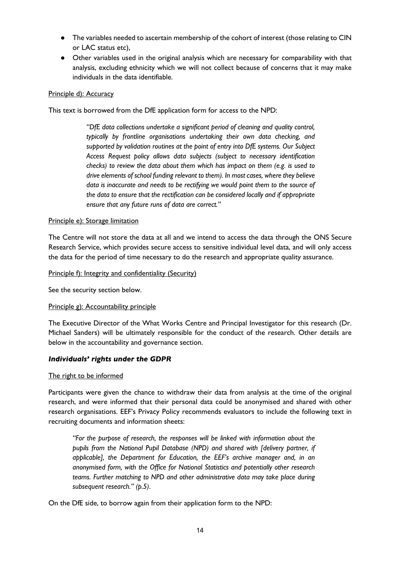- The variables needed to ascertain membership of the cohort of interest (those relating to CIN or LAC status etc),
- Other variables used in the original analysis which are necessary for comparability with that analysis, excluding ethnicity which we will not collect because of concerns that it may make individuals in the data identifiable.

#### Principle d): Accuracy

This text is borrowed from the DfE application form for access to the NPD:

*"DfE data collections undertake a significant period of cleaning and quality control, typically by frontline organisations undertaking their own data checking, and supported by validation routines at the point of entry into DfE systems. Our Subject Access Request policy allows data subjects (subject to necessary identification checks) to review the data about them which has impact on them (e.g. is used to drive elements of school funding relevant to them). In most cases, where they believe data is inaccurate and needs to be rectifying we would point them to the source of the data to ensure that the rectification can be considered locally and if appropriate ensure that any future runs of data are correct."*

#### Principle e): Storage limitation

The Centre will not store the data at all and we intend to access the data through the ONS Secure Research Service, which provides secure access to sensitive individual level data, and will only access the data for the period of time necessary to do the research and appropriate quality assurance.

Principle f): Integrity and confidentiality (Security)

See the security section below.

#### Principle g): Accountability principle

The Executive Director of the What Works Centre and Principal Investigator for this research (Dr. Michael Sanders) will be ultimately responsible for the conduct of the research. Other details are below in the accountability and governance section.

#### *Individuals' rights under the GDPR*

#### The right to be informed

Participants were given the chance to withdraw their data from analysis at the time of the original research, and were informed that their personal data could be anonymised and shared with other research organisations. EEF's Privacy Policy recommends evaluators to include the following text in recruiting documents and information sheets:

*"For the purpose of research, the responses will be linked with information about the pupils from the National Pupil Database (NPD) and shared with [delivery partner, if applicable], the Department for Education, the EEF's archive manager and, in an anonymised form, with the Office for National Statistics and potentially other research teams. Further matching to NPD and other administrative data may take place during subsequent research." (p.5)*.

On the DfE side, to borrow again from their application form to the NPD: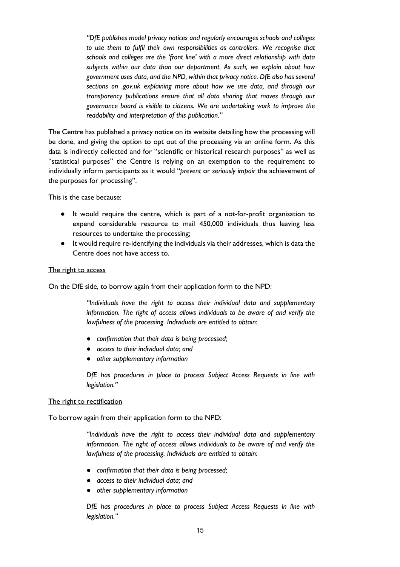*"DfE publishes model privacy notices and regularly encourages schools and colleges to use them to fulfil their own responsibilities as controllers. We recognise that schools and colleges are the 'front line' with a more direct relationship with data subjects within our data than our department. As such, we explain about how government uses data, and the NPD, within that privacy notice. DfE also has several sections on .gov.uk explaining more about how we use data, and through our transparency publications ensure that all data sharing that moves through our governance board is visible to citizens. We are undertaking work to improve the readability and interpretation of this publication."*

The Centre has published a privacy notice on its website detailing how the processing will be done, and giving the option to opt out of the processing via an online form. As this data is indirectly collected and for "scientific or historical research purposes" as well as "statistical purposes" the Centre is relying on an exemption to the requirement to individually inform participants as it would "*prevent* or *seriously impair* the achievement of the purposes for processing".

This is the case because:

- It would require the centre, which is part of a not-for-profit organisation to expend considerable resource to mail 450,000 individuals thus leaving less resources to undertake the processing;
- It would require re-identifying the individuals via their addresses, which is data the Centre does not have access to.

#### The right to access

On the DfE side, to borrow again from their application form to the NPD:

*"Individuals have the right to access their individual data and supplementary information. The right of access allows individuals to be aware of and verify the lawfulness of the processing. Individuals are entitled to obtain:*

- *confirmation that their data is being processed;*
- *access to their individual data; and*
- *other supplementary information*

*DfE has procedures in place to process Subject Access Requests in line with legislation."*

#### The right to rectification

To borrow again from their application form to the NPD:

*"Individuals have the right to access their individual data and supplementary information. The right of access allows individuals to be aware of and verify the lawfulness of the processing. Individuals are entitled to obtain:*

- *confirmation that their data is being processed;*
- *access to their individual data; and*
- *other supplementary information*

*DfE has procedures in place to process Subject Access Requests in line with legislation."*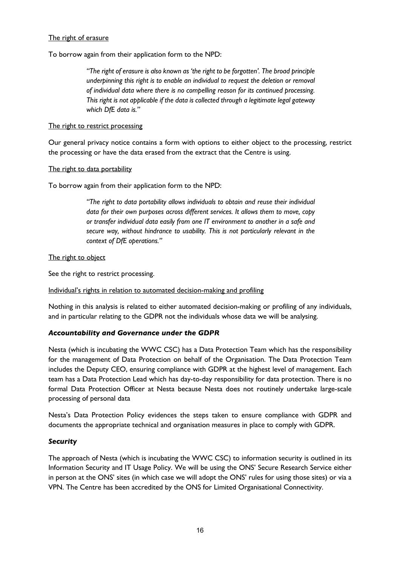#### The right of erasure

To borrow again from their application form to the NPD:

*"The right of erasure is also known as 'the right to be forgotten'. The broad principle underpinning this right is to enable an individual to request the deletion or removal of individual data where there is no compelling reason for its continued processing. This right is not applicable if the data is collected through a legitimate legal gateway which DfE data is."*

#### The right to restrict processing

Our general privacy notice contains a form with options to either object to the processing, restrict the processing or have the data erased from the extract that the Centre is using.

#### The right to data portability

To borrow again from their application form to the NPD:

*"The right to data portability allows individuals to obtain and reuse their individual data for their own purposes across different services. It allows them to move, copy or transfer individual data easily from one IT environment to another in a safe and secure way, without hindrance to usability. This is not particularly relevant in the context of DfE operations."*

The right to object

See the right to restrict processing.

Individual's rights in relation to automated decision-making and profiling

Nothing in this analysis is related to either automated decision-making or profiling of any individuals, and in particular relating to the GDPR not the individuals whose data we will be analysing.

## *Accountability and Governance under the GDPR*

Nesta (which is incubating the WWC CSC) has a Data Protection Team which has the responsibility for the management of Data Protection on behalf of the Organisation. The Data Protection Team includes the Deputy CEO, ensuring compliance with GDPR at the highest level of management. Each team has a Data Protection Lead which has day-to-day responsibility for data protection. There is no formal Data Protection Officer at Nesta because Nesta does not routinely undertake large-scale processing of personal data

Nesta's Data Protection Policy evidences the steps taken to ensure compliance with GDPR and documents the appropriate technical and organisation measures in place to comply with GDPR.

## *Security*

The approach of Nesta (which is incubating the WWC CSC) to information security is outlined in its Information Security and IT Usage Policy. We will be using the ONS' Secure Research Service either in person at the ONS' sites (in which case we will adopt the ONS' rules for using those sites) or via a VPN. The Centre has been accredited by the ONS for Limited Organisational Connectivity.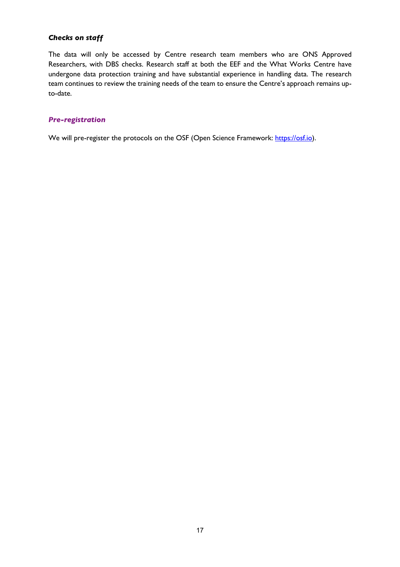## *Checks on staff*

The data will only be accessed by Centre research team members who are ONS Approved Researchers, with DBS checks. Research staff at both the EEF and the What Works Centre have undergone data protection training and have substantial experience in handling data. The research team continues to review the training needs of the team to ensure the Centre's approach remains upto-date.

#### *Pre-registration*

We will pre-register the protocols on the OSF (Open Science Framework: https://osf.io).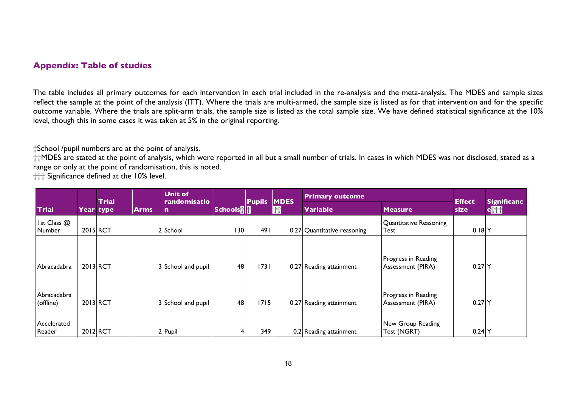## **Appendix: Table of studies**

The table includes all primary outcomes for each intervention in each trial included in the re-analysis and the meta-analysis. The MDES and sample sizes reflect the sample at the point of the analysis (ITT). Where the trials are multi-armed, the sample size is listed as for that intervention and for the specific outcome variable. Where the trials are split-arm trials, the sample size is listed as the total sample size. We have defined statistical significance at the 10% level, though this in some cases it was taken at 5% in the original reporting.

†School /pupil numbers are at the point of analysis.

††MDES are stated at the point of analysis, which were reported in all but a small number of trials. In cases in which MDES was not disclosed, stated as a range or only at the point of randomisation, this is noted.

††† Significance defined at the 10% level.

|                          |          | Trial     | <b>Unit of</b><br>randomisatio |                    |                             | <b>MDES</b><br><b>Pupils</b> |            | <b>Primary outcome</b>      |                                          | <b>Effect</b> | Significanc <sup>1</sup> |
|--------------------------|----------|-----------|--------------------------------|--------------------|-----------------------------|------------------------------|------------|-----------------------------|------------------------------------------|---------------|--------------------------|
| <b>Trial</b>             |          | Year type | <b>Arms</b>                    | n                  | <b>Schools<sup>1</sup>1</b> |                              | <b>Itt</b> | <b>Variable</b>             | <b>Measure</b>                           | <b>size</b>   | $e^{\frac{1}{n}}$        |
| Ist Class @<br>Number    | 2015 RCT |           |                                | 2 School           | 130                         | 491                          |            | 0.27 Quantitative reasoning | Quantitative Reasoning<br>Test           | $0.18$ $Y$    |                          |
| Abracadabra              | 2013 RCT |           |                                | 3 School and pupil | 48                          | 1731                         |            | 0.27 Reading attainment     | Progress in Reading<br>Assessment (PIRA) | $0.27$ Y      |                          |
| Abracadabra<br>(offline) | 2013 RCT |           |                                | 3 School and pupil | 48                          | 1715                         |            | 0.27 Reading attainment     | Progress in Reading<br>Assessment (PIRA) | $0.27$ Y      |                          |
| Accelerated<br>Reader    | 2012 RCT |           |                                | $2$ Pupil          |                             | 349                          |            | 0.2 Reading attainment      | New Group Reading<br>Test (NGRT)         | $0.24$ Y      |                          |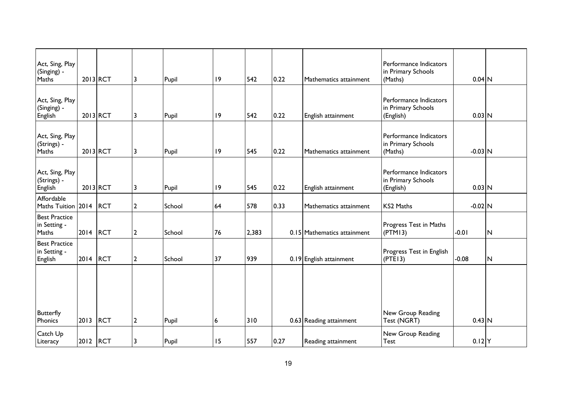| Act, Sing, Play<br>(Singing) -<br>Maths         |          | 2013 RCT   | 3              | Pupil  | 19 | 542   | 0.22 | Mathematics attainment      | Performance Indicators<br>in Primary Schools<br>(Maths)   | $0.04$ N  |              |
|-------------------------------------------------|----------|------------|----------------|--------|----|-------|------|-----------------------------|-----------------------------------------------------------|-----------|--------------|
| Act, Sing, Play<br>(Singing) -<br>English       |          | 2013 RCT   | 3              | Pupil  | 9  | 542   | 0.22 | English attainment          | Performance Indicators<br>in Primary Schools<br>(English) | $0.03$ N  |              |
| Act, Sing, Play<br>(Strings) -<br>Maths         |          | 2013 RCT   | 3              | Pupil  | 9  | 545   | 0.22 | Mathematics attainment      | Performance Indicators<br>in Primary Schools<br>(Maths)   | $-0.03$ N |              |
| Act, Sing, Play<br>(Strings) -<br>English       |          | 2013 RCT   | 3              | Pupil  | 9  | 545   | 0.22 | English attainment          | Performance Indicators<br>in Primary Schools<br>(English) | $0.03$ N  |              |
| Affordable<br><b>Maths Tuition</b>              | 2014     | <b>RCT</b> | $\overline{2}$ | School | 64 | 578   | 0.33 | Mathematics attainment      | KS2 Maths                                                 | $-0.02$ N |              |
| <b>Best Practice</b><br>in Setting -<br>Maths   | 2014     | <b>RCT</b> | $\overline{2}$ | School | 76 | 2,383 |      | 0.15 Mathematics attainment | Progress Test in Maths<br>(PTM13)                         | $-0.01$   | $\mathsf{N}$ |
| <b>Best Practice</b><br>in Setting -<br>English | 2014     | <b>RCT</b> | $\mathbf{2}$   | School | 37 | 939   |      | 0.19 English attainment     | Progress Test in English<br>(PTE13)                       | $-0.08$   | N            |
|                                                 |          |            |                |        |    |       |      |                             |                                                           |           |              |
| <b>Butterfly</b><br>Phonics                     | 2013     | <b>RCT</b> | $\overline{2}$ | Pupil  | 6  | 310   |      | 0.63 Reading attainment     | New Group Reading<br>Test (NGRT)                          | $0.43$ N  |              |
| Catch Up<br>Literacy                            | 2012 RCT |            | 3              | Pupil  | 15 | 557   | 0.27 | Reading attainment          | New Group Reading<br>Test                                 | $0.12$ Y  |              |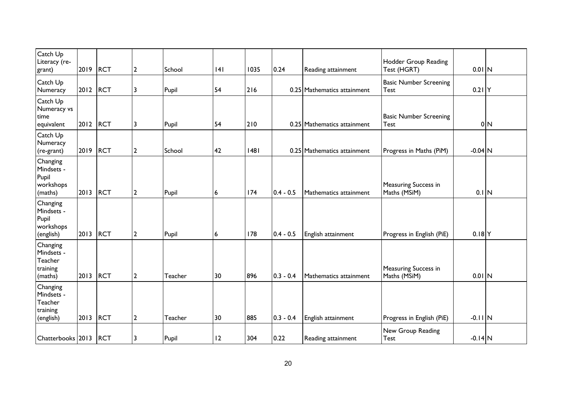| Catch Up<br>Literacy (re-<br>grant)                        | 2019 | <b>RCT</b> | $\mathbf{2}$   | School  | 4              | 1035 | 0.24        | Reading attainment          | Hodder Group Reading<br>Test (HGRT)          | $0.01$ N  |                |
|------------------------------------------------------------|------|------------|----------------|---------|----------------|------|-------------|-----------------------------|----------------------------------------------|-----------|----------------|
| Catch Up<br>Numeracy                                       | 2012 | <b>RCT</b> | 3              | Pupil   | 54             | 216  |             | 0.25 Mathematics attainment | <b>Basic Number Screening</b><br>Test        | $0.21$ Y  |                |
| Catch Up<br>Numeracy vs<br>time<br>equivalent              | 2012 | <b>RCT</b> | 3              | Pupil   | 54             | 210  |             | 0.25 Mathematics attainment | <b>Basic Number Screening</b><br><b>Test</b> |           | 0 <sub>N</sub> |
| Catch Up<br>Numeracy<br>(re-grant)                         | 2019 | <b>RCT</b> | $\mathbf{2}$   | School  | 42             | 48   |             | 0.25 Mathematics attainment | Progress in Maths (PiM)                      | $-0.04$ N |                |
| Changing<br>Mindsets -<br>Pupil<br>workshops<br>(maths)    | 2013 | <b>RCT</b> | $\overline{2}$ | Pupil   | 6              | 174  | $0.4 - 0.5$ | Mathematics attainment      | Measuring Success in<br>Maths (MSiM)         | $0.1$ N   |                |
| Changing<br>Mindsets -<br>Pupil<br>workshops<br>(english)  | 2013 | <b>RCT</b> | $\mathbf{2}$   | Pupil   | $6\phantom{a}$ | 178  | $0.4 - 0.5$ | English attainment          | Progress in English (PiE)                    | $0.18$ Y  |                |
| Changing<br>Mindsets -<br>Teacher<br>training<br>(maths)   | 2013 | <b>RCT</b> | $\mathbf{2}$   | Teacher | 30             | 896  | $0.3 - 0.4$ | Mathematics attainment      | Measuring Success in<br>Maths (MSiM)         | $0.01$ N  |                |
| Changing<br>Mindsets -<br>Teacher<br>training<br>(english) | 2013 | <b>RCT</b> | $\overline{2}$ | Teacher | 30             | 885  | $0.3 - 0.4$ | English attainment          | Progress in English (PiE)                    | $-0.11$ N |                |
| Chatterbooks 2013                                          |      | <b>RCT</b> | 3              | Pupil   | 12             | 304  | 0.22        | Reading attainment          | New Group Reading<br>Test                    | $-0.14$ N |                |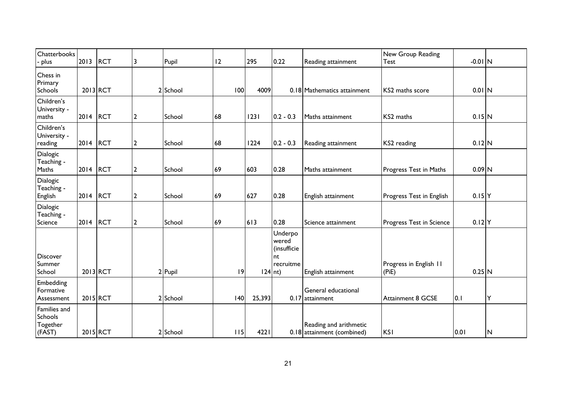| Chatterbooks<br>plus                          | 2013     | <b>RCT</b> | 3              | Pupil    | 12  | 295       | 0.22                                               | Reading attainment                                   | New Group Reading<br><b>Test</b> | $-0.01$ N           |   |
|-----------------------------------------------|----------|------------|----------------|----------|-----|-----------|----------------------------------------------------|------------------------------------------------------|----------------------------------|---------------------|---|
| Chess in<br>Primary<br>Schools                |          | 2013 RCT   |                | 2 School | 100 | 4009      |                                                    | 0.18 Mathematics attainment                          | KS2 maths score                  | $0.01$ N            |   |
| Children's<br>University -<br>maths           | 2014     | <b>RCT</b> | 2              | School   | 68  | 23        | $ 0.2 - 0.3 $                                      | Maths attainment                                     | KS2 maths                        | 0.15 N              |   |
| Children's<br>University -<br>reading         | 2014     | <b>RCT</b> | $\overline{2}$ | School   | 68  | 1224      | $ 0.2 - 0.3$                                       | Reading attainment                                   | KS2 reading                      | $0.12$ N            |   |
| Dialogic<br>Teaching -<br>Maths               | 2014     | <b>RCT</b> | $\overline{2}$ | School   | 69  | 603       | 0.28                                               | Maths attainment                                     | Progress Test in Maths           | $0.09$ N            |   |
| <b>Dialogic</b><br>Teaching -<br>English      | 2014     | <b>RCT</b> | $\overline{2}$ | School   | 69  | 627       | 0.28                                               | English attainment                                   | Progress Test in English         | $0.15$ <sup>Y</sup> |   |
| Dialogic<br>Teaching -<br>Science             | 2014     | <b>RCT</b> | $\overline{2}$ | School   | 69  | 613       | 0.28                                               | Science attainment                                   | Progress Test in Science         | $0.12$ Y            |   |
| <b>Discover</b><br>Summer<br>School           |          | 2013 RCT   |                | 2 Pupil  | 9   | $124$ nt) | Underpo<br>wered<br>(insufficie<br>nt<br>recruitme | English attainment                                   | Progress in English 11<br>(PiE)  | $0.25$ N            |   |
| Embedding<br>Formative<br>Assessment          | 2015 RCT |            |                | 2 School | 40  | 25,393    |                                                    | General educational<br>$0.17$ attainment             | Attainment 8 GCSE                | 0.1                 | Y |
| Families and<br>Schools<br>Together<br>(FAST) | 2015 RCT |            |                | 2 School | 115 | 4221      |                                                    | Reading and arithmetic<br>0.18 attainment (combined) | <b>KSI</b>                       | 0.01                | N |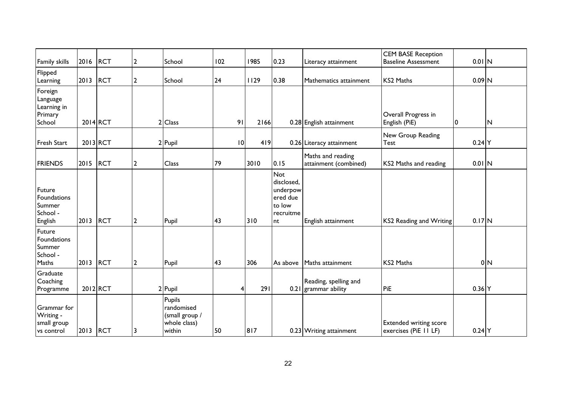| <b>Family skills</b>                                    | 2016     | <b>RCT</b> | $\overline{2}$ | School                                                           | 102 |    | 1985 | 0.23                                                                          | Literacy attainment                           | <b>CEM BASE Reception</b><br><b>Baseline Assessment</b> | $0.01$ N                |                |
|---------------------------------------------------------|----------|------------|----------------|------------------------------------------------------------------|-----|----|------|-------------------------------------------------------------------------------|-----------------------------------------------|---------------------------------------------------------|-------------------------|----------------|
| Flipped<br>Learning                                     | 2013     | <b>RCT</b> | $\overline{2}$ | School                                                           | 24  |    | 1129 | 0.38                                                                          | Mathematics attainment                        | <b>KS2 Maths</b>                                        | $0.09$ N                |                |
| Foreign<br>Language<br>Learning in<br>Primary<br>School |          | 2014 RCT   | 2              | <b>Class</b>                                                     |     | 91 | 2166 |                                                                               | 0.28 English attainment                       | Overall Progress in<br>English (PiE)                    | $\overline{\mathbf{0}}$ | ${\sf N}$      |
| <b>Fresh Start</b>                                      |          | 2013 RCT   |                | 2 Pupil                                                          |     | 10 | 419  |                                                                               | 0.26 Literacy attainment                      | New Group Reading<br><b>Test</b>                        | $0.24$ Y                |                |
| <b>FRIENDS</b>                                          | 2015     | <b>RCT</b> | $\overline{2}$ | Class                                                            | 79  |    | 3010 | 0.15                                                                          | Maths and reading<br>attainment (combined)    | KS2 Maths and reading                                   | $0.01$ N                |                |
| Future<br>Foundations<br>Summer<br>School -<br>English  | 2013     | <b>RCT</b> | $\overline{2}$ | Pupil                                                            | 43  |    | 310  | <b>Not</b><br>disclosed,<br>underpow<br>ered due<br>to low<br>recruitme<br>nt | English attainment                            | KS2 Reading and Writing                                 | $0.17$ N                |                |
| Future<br>Foundations<br>Summer<br>School -<br>Maths    | 2013     | <b>RCT</b> | $\overline{2}$ | Pupil                                                            | 43  |    | 306  | As above                                                                      | Maths attainment                              | <b>KS2 Maths</b>                                        |                         | 0 <sub>N</sub> |
| Graduate<br>Coaching<br>Programme                       |          | 2012 RCT   |                | 2 Pupil                                                          |     | 4  | 291  |                                                                               | Reading, spelling and<br>0.21 grammar ability | PiE                                                     | $0.36$ Y                |                |
| Grammar for<br>Writing -<br>small group<br>vs control   | 2013 RCT |            | 3              | Pupils<br>randomised<br>(small group /<br>whole class)<br>within | 50  |    | 817  |                                                                               | 0.23 Writing attainment                       | <b>Extended writing score</b><br>exercises (PiE II LF)  | $0.24$ Y                |                |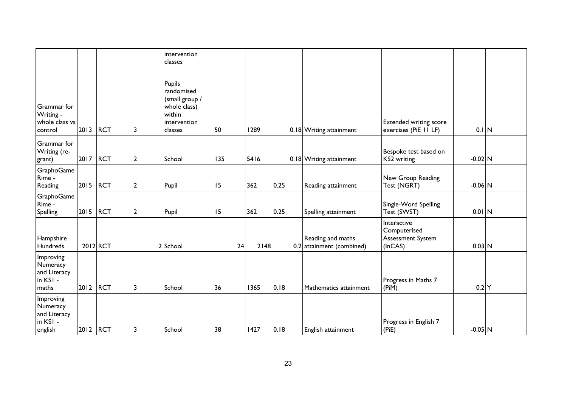|                                                              |          |            |                | intervention<br>classes                                                                     |     |      |      |                                                |                                                             |           |  |
|--------------------------------------------------------------|----------|------------|----------------|---------------------------------------------------------------------------------------------|-----|------|------|------------------------------------------------|-------------------------------------------------------------|-----------|--|
| Grammar for<br>Writing -<br>whole class vs<br>control        | 2013     | <b>RCT</b> | 3              | Pupils<br>randomised<br>(small group /<br>whole class)<br>within<br>intervention<br>classes | 50  | 1289 |      | 0.18 Writing attainment                        | <b>Extended writing score</b><br>exercises (PiE II LF)      | $0.1$ N   |  |
| Grammar for<br>Writing (re-<br>grant)                        | 2017     | <b>RCT</b> | $\overline{2}$ | School                                                                                      | 135 | 5416 |      | 0.18 Writing attainment                        | Bespoke test based on<br>KS2 writing                        | $-0.02$ N |  |
| GraphoGame<br>Rime -<br>Reading                              | 2015     | <b>RCT</b> | $\overline{2}$ | Pupil                                                                                       | 15  | 362  | 0.25 | Reading attainment                             | New Group Reading<br>Test (NGRT)                            | $-0.06$ N |  |
| GraphoGame<br>Rime -<br><b>Spelling</b>                      | 2015     | RCT        | $\overline{2}$ | Pupil                                                                                       | 15  | 362  | 0.25 | Spelling attainment                            | Single-Word Spelling<br>Test (SWST)                         | $0.01$ N  |  |
| Hampshire<br>Hundreds                                        |          | 2012 RCT   |                | 2 School                                                                                    | 24  | 2148 |      | Reading and maths<br>0.2 attainment (combined) | Interactive<br>Computerised<br>Assessment System<br>(InCAS) | $0.03$ N  |  |
| Improving<br>Numeracy<br>and Literacy<br>in KSI -<br>maths   | 2012     | RCT        | 3              | School                                                                                      | 36  | 1365 | 0.18 | Mathematics attainment                         | Progress in Maths 7<br>(PiM)                                | $0.2$ Y   |  |
| Improving<br>Numeracy<br>and Literacy<br>in KSI -<br>english | 2012 RCT |            | 3              | School                                                                                      | 38  | 1427 | 0.18 | English attainment                             | Progress in English 7<br>(PiE)                              | $-0.05$ N |  |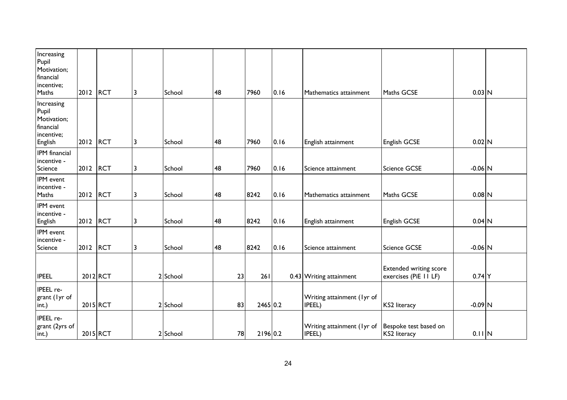| Increasing<br>Pupil<br>Motivation;<br>financial<br>incentive;<br>Maths   | 2012     | <b>RCT</b> | 3 | School   | 48 | 7960     | 0.16 | Mathematics attainment               | Maths GCSE                                             | $0.03$ N  |  |
|--------------------------------------------------------------------------|----------|------------|---|----------|----|----------|------|--------------------------------------|--------------------------------------------------------|-----------|--|
| Increasing<br>Pupil<br>Motivation;<br>financial<br>incentive;<br>English | 2012     | <b>RCT</b> | 3 | School   | 48 | 7960     | 0.16 | English attainment                   | English GCSE                                           | $0.02$ N  |  |
| IPM financial<br>incentive -<br>Science                                  | 2012     | <b>RCT</b> | 3 | School   | 48 | 7960     | 0.16 | Science attainment                   | Science GCSE                                           | $-0.06$ N |  |
| IPM event<br>incentive -<br>Maths                                        | 2012     | RCT        | 3 | School   | 48 | 8242     | 0.16 | Mathematics attainment               | Maths GCSE                                             | $0.08$ N  |  |
| IPM event<br>incentive -<br>English                                      | 2012     | <b>RCT</b> | 3 | School   | 48 | 8242     | 0.16 | English attainment                   | English GCSE                                           | $0.04$ N  |  |
| IPM event<br>incentive -<br>Science                                      | 2012     | RCT        | 3 | School   | 48 | 8242     | 0.16 | Science attainment                   | <b>Science GCSE</b>                                    | $-0.06$ N |  |
| <b>IPEEL</b>                                                             |          | 2012 RCT   |   | 2 School | 23 | 261      |      | 0.43 Writing attainment              | <b>Extended writing score</b><br>exercises (PiE II LF) | $0.74$ Y  |  |
| IPEEL re-<br>grant (lyr of<br>int.)                                      | 2015 RCT |            |   | 2 School | 83 | 2465 0.2 |      | Writing attainment (lyr of<br>IPEEL) | <b>KS2 literacy</b>                                    | $-0.09$ N |  |
| IPEEL re-<br>grant (2yrs of<br>int.)                                     | 2015 RCT |            |   | 2 School | 78 | 2196 0.2 |      | Writing attainment (lyr of<br>IPEEL) | Bespoke test based on<br>KS2 literacy                  | $0.11$ N  |  |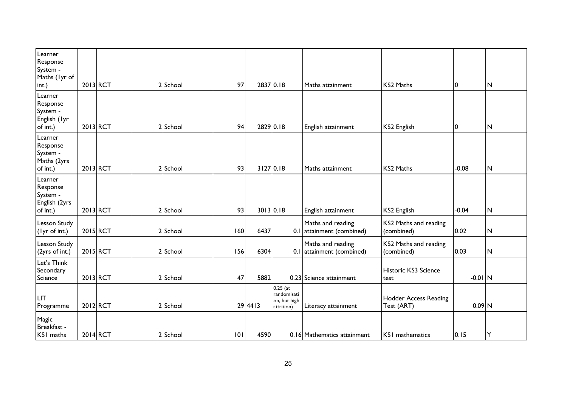| Learner<br>Response<br>System -<br>Maths (lyr of<br>int.)    |          | $2013$ <sub>RCT</sub> | 2 School | 97  | 2837 0.18 |                                                         | Maths attainment                               | <b>KS2 Maths</b>                    | 10        | ${\sf N}$               |
|--------------------------------------------------------------|----------|-----------------------|----------|-----|-----------|---------------------------------------------------------|------------------------------------------------|-------------------------------------|-----------|-------------------------|
| Learner<br>Response<br>System -<br>English (lyr<br>of int.)  |          | $2013$ <sub>RCT</sub> | 2 School | 94  | 2829 0.18 |                                                         | English attainment                             | KS2 English                         | 0         | $\mathsf{N}$            |
| Learner<br>Response<br>System -<br>Maths (2yrs<br>of int.)   |          | $2013$ <sub>RCT</sub> | 2 School | 93  | 3127 0.18 |                                                         | Maths attainment                               | <b>KS2 Maths</b>                    | $-0.08$   | $\overline{N}$          |
| Learner<br>Response<br>System -<br>English (2yrs<br>of int.) |          | $2013$ <sub>RCT</sub> | 2 School | 93  | 3013 0.18 |                                                         | English attainment                             | KS2 English                         | $-0.04$   | $\overline{\mathsf{N}}$ |
| Lesson Study<br>(lyr of int.)                                |          | 2015 RCT              | 2 School | 60  | 6437      |                                                         | Maths and reading<br>0.1 attainment (combined) | KS2 Maths and reading<br>(combined) | 0.02      | ${\sf N}$               |
| Lesson Study<br>(2yrs of int.)                               |          | 2015 RCT              | 2 School | 156 | 6304      |                                                         | Maths and reading<br>0.1 attainment (combined) | KS2 Maths and reading<br>(combined) | 0.03      | ${\sf N}$               |
| Let's Think<br>Secondary<br>Science                          |          | 2013 RCT              | 2 School | 47  | 5882      |                                                         | 0.23 Science attainment                        | Historic KS3 Science<br>test        | $-0.01$ N |                         |
| LIT<br>Programme                                             |          | 2012 RCT              | 2 School |     | $29$ 4413 | $0.25$ (at<br>randomisati<br>on, but high<br>attrition) | Literacy attainment                            | Hodder Access Reading<br>Test (ART) | $0.09$ N  |                         |
| Magic<br>Breakfast -<br>KSI maths                            | 2014 RCT |                       | 2 School | 101 | 4590      |                                                         | 0.16 Mathematics attainment                    | KS1 mathematics                     | 0.15      | Υ                       |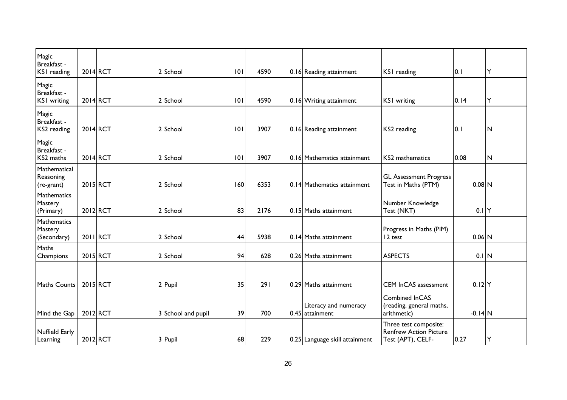| Magic<br>Breakfast -<br>KSI reading        | 2014 RCT | 2 School           | 0   | 4590 | 0.16 Reading attainment                    | KSI reading                                                                 | 0.1       | Y              |
|--------------------------------------------|----------|--------------------|-----|------|--------------------------------------------|-----------------------------------------------------------------------------|-----------|----------------|
| Magic<br>Breakfast -<br><b>KSI</b> writing | 2014 RCT | 2 School           | 101 | 4590 | 0.16 Writing attainment                    | <b>KSI</b> writing                                                          | 0.14      | Y              |
| Magic<br>Breakfast -<br>KS2 reading        | 2014 RCT | 2 School           | 0   | 3907 | 0.16 Reading attainment                    | KS2 reading                                                                 | 0.1       | N              |
| Magic<br>Breakfast -<br>KS2 maths          | 2014 RCT | 2 School           | 0   | 3907 | 0.16 Mathematics attainment                | KS2 mathematics                                                             | 0.08      | $\overline{N}$ |
| Mathematical<br>Reasoning<br>(re-grant)    | 2015 RCT | 2 School           | 160 | 6353 | 0.14 Mathematics attainment                | <b>GL Assessment Progress</b><br>Test in Maths (PTM)                        | $0.08$ N  |                |
| Mathematics<br>Mastery<br>(Primary)        | 2012 RCT | 2 School           | 83  | 2176 | 0.15 Maths attainment                      | Number Knowledge<br>Test (NKT)                                              | $0.1$ Y   |                |
| Mathematics<br>Mastery<br>(Secondary)      | 2011 RCT | 2 School           | 44  | 5938 | 0.14 Maths attainment                      | Progress in Maths (PiM)<br>12 test                                          | $0.06$ N  |                |
| Maths<br>Champions                         | 2015 RCT | 2 School           | 94  | 628  | 0.26 Maths attainment                      | <b>ASPECTS</b>                                                              | $0.1$ N   |                |
| <b>Maths Counts</b>                        | 2015 RCT | 2 Pupil            | 35  | 291  | 0.29 Maths attainment                      | <b>CEM InCAS assessment</b>                                                 | $0.12$ Y  |                |
| Mind the Gap                               | 2012 RCT | 3 School and pupil | 39  | 700  | Literacy and numeracy<br>$0.45$ attainment | Combined InCAS<br>(reading, general maths,<br>arithmetic)                   | $-0.14$ N |                |
| Nuffield Early<br>Learning                 | 2012 RCT | 3 Pupil            | 68  | 229  | 0.25 Language skill attainment             | Three test composite:<br><b>Renfrew Action Picture</b><br>Test (APT), CELF- | 0.27      | Υ              |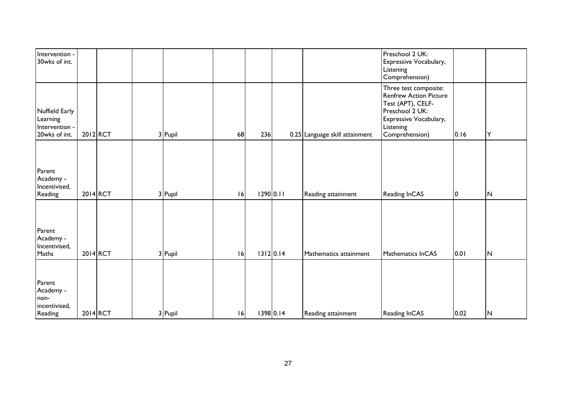| Intervention -<br>30wks of int.                               |          |         |    |           |                                | Preschool 2 UK:<br>Expressive Vocabulary,<br>Listening<br>Comprehension)                                                                                |      |                         |  |
|---------------------------------------------------------------|----------|---------|----|-----------|--------------------------------|---------------------------------------------------------------------------------------------------------------------------------------------------------|------|-------------------------|--|
| Nuffield Early<br>Learning<br>Intervention -<br>20wks of int. | 2012 RCT | 3 Pupil | 68 | 236       | 0.25 Language skill attainment | Three test composite:<br><b>Renfrew Action Picture</b><br>Test (APT), CELF-<br>Preschool 2 UK:<br>Expressive Vocabulary,<br>Listening<br>Comprehension) | 0.16 | Y                       |  |
| Parent<br>Academy -<br>Incentivised,<br>Reading               | 2014 RCT | 3 Pupil | 6  | 1290 0.11 | Reading attainment             | Reading InCAS                                                                                                                                           | 0    | $\overline{\mathsf{N}}$ |  |
| Parent<br>Academy -<br>Incentivised,<br>Maths                 | 2014 RCT | 3 Pupil | 6  | 1312 0.14 | Mathematics attainment         | Mathematics InCAS                                                                                                                                       | 0.01 | $\mathsf{N}$            |  |
| Parent<br>Academy -<br>non-<br>incentivised,<br>Reading       | 2014 RCT | 3 Pupil | 16 | 1398 0.14 | Reading attainment             | Reading InCAS                                                                                                                                           | 0.02 | $\mathsf{N}$            |  |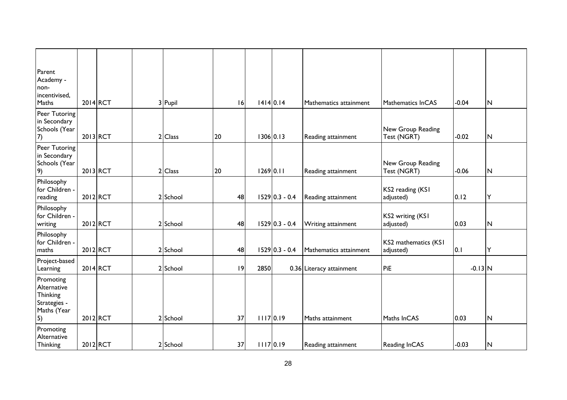| Parent<br>Academy -<br>non-<br>incentivised,                              |          |  |          |    |             |                  |                          |                                   |           |                         |
|---------------------------------------------------------------------------|----------|--|----------|----|-------------|------------------|--------------------------|-----------------------------------|-----------|-------------------------|
| Maths                                                                     | 2014 RCT |  | 3 Pupil  | 16 | 14140.14    |                  | Mathematics attainment   | Mathematics InCAS                 | $-0.04$   | N                       |
| Peer Tutoring<br>in Secondary<br>Schools (Year<br>(7)                     | 2013 RCT |  | 2 Class  | 20 | 1306 0.13   |                  | Reading attainment       | New Group Reading<br>Test (NGRT)  | $-0.02$   | $\mathsf{N}$            |
| Peer Tutoring<br>in Secondary<br>Schools (Year<br>9)                      | 2013 RCT |  | 2 Class  | 20 | $1269$ 0.11 |                  | Reading attainment       | New Group Reading<br>Test (NGRT)  | $-0.06$   | $\overline{\mathsf{N}}$ |
| Philosophy<br>for Children -<br>reading                                   | 2012 RCT |  | 2 School | 48 |             | $1529 0.3 - 0.4$ | Reading attainment       | KS2 reading (KS1<br>adjusted)     | 0.12      | Υ                       |
| Philosophy<br>for Children -<br>writing                                   | 2012 RCT |  | 2 School | 48 |             | $1529 0.3 - 0.4$ | Writing attainment       | KS2 writing (KS1<br>adjusted)     | 0.03      | $\overline{\mathsf{N}}$ |
| Philosophy<br>for Children -<br>maths                                     | 2012 RCT |  | 2 School | 48 |             | $1529 0.3 - 0.4$ | Mathematics attainment   | KS2 mathematics (KS1<br>adjusted) | 0.1       | Y                       |
| Project-based<br>Learning                                                 | 2014 RCT |  | 2 School | 9  | 2850        |                  | 0.36 Literacy attainment | PiE                               | $-0.13$ N |                         |
| Promoting<br>Alternative<br>Thinking<br>Strategies -<br>Maths (Year<br>5) | 2012 RCT |  | 2 School | 37 | 11170.19    |                  | Maths attainment         | Maths InCAS                       | 0.03      | N                       |
| Promoting<br>Alternative<br>Thinking                                      | 2012 RCT |  | 2 School | 37 | 11170.19    |                  | Reading attainment       | Reading InCAS                     | $-0.03$   | N                       |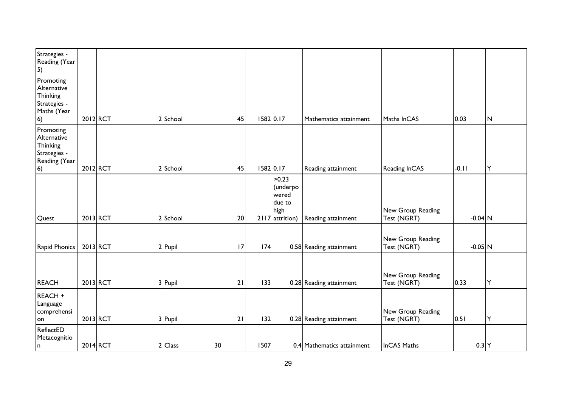| Strategies -<br>Reading (Year<br>$\vert 5)$                                         |          |          |           |    |           |                                                                 |                            |                                  |           |   |
|-------------------------------------------------------------------------------------|----------|----------|-----------|----|-----------|-----------------------------------------------------------------|----------------------------|----------------------------------|-----------|---|
| Promoting<br>Alternative<br>Thinking<br>Strategies -<br>Maths (Year<br>$\vert 6)$   | 2012 RCT |          | 2 School  | 45 | 1582 0.17 |                                                                 | Mathematics attainment     | Maths InCAS                      | 0.03      | N |
| Promoting<br>Alternative<br>Thinking<br>Strategies -<br>Reading (Year<br>$\vert 6)$ | 2012 RCT |          | 2 School  | 45 | 1582 0.17 |                                                                 | Reading attainment         | Reading InCAS                    | $-0.11$   | Υ |
| Quest                                                                               |          | 2013 RCT | 2 School  | 20 |           | >0.23<br>(underpo<br>wered<br>due to<br>high<br>2117 attrition) | Reading attainment         | New Group Reading<br>Test (NGRT) | $-0.04$ N |   |
| Rapid Phonics                                                                       |          | 2013 RCT | $2$ Pupil | 17 | 174       |                                                                 | 0.58 Reading attainment    | New Group Reading<br>Test (NGRT) | $-0.05$ N |   |
| <b>REACH</b>                                                                        |          | 2013 RCT | 3 Pupil   | 21 | 133       |                                                                 | 0.28 Reading attainment    | New Group Reading<br>Test (NGRT) | 0.33      | Υ |
| REACH +<br>Language<br>comprehensi<br>lon                                           |          | 2013 RCT | 3 Pupil   | 21 | 132       |                                                                 | 0.28 Reading attainment    | New Group Reading<br>Test (NGRT) | 0.51      | Υ |
| ReflectED<br>Metacognitio<br>n                                                      | 2014 RCT |          | 2 Class   | 30 | 1507      |                                                                 | 0.4 Mathematics attainment | <b>InCAS Maths</b>               | $0.3$ Y   |   |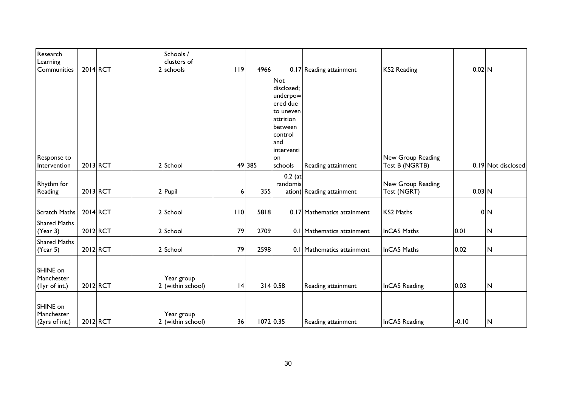| Research<br>Learning<br>Communities      | 2014 RCT | Schools /<br>clusters of<br>2 schools | 19 | 4966        |                                                                                                                                        | 0.17 Reading attainment     | <b>KS2 Reading</b>                  | $0.02$ N |                    |
|------------------------------------------|----------|---------------------------------------|----|-------------|----------------------------------------------------------------------------------------------------------------------------------------|-----------------------------|-------------------------------------|----------|--------------------|
| Response to<br>Intervention              | 2013 RCT | 2 School                              |    | 49 385      | <b>Not</b><br>disclosed;<br>underpow<br>ered due<br>to uneven<br>attrition<br>between<br>control<br>and<br>interventi<br>on<br>schools | Reading attainment          | New Group Reading<br>Test B (NGRTB) |          | 0.19 Not disclosed |
| <b>Rhythm</b> for<br>Reading             | 2013 RCT | 2 Pupil                               | 6  | 355         | $0.2$ (at<br>randomis                                                                                                                  | ation) Reading attainment   | New Group Reading<br>Test (NGRT)    | $0.03$ N |                    |
| <b>Scratch Maths</b>                     | 2014 RCT | 2 School                              | 10 | 5818        |                                                                                                                                        | 0.17 Mathematics attainment | KS2 Maths                           |          | 0 <sub>N</sub>     |
| <b>Shared Maths</b><br>(Year 3)          | 2012 RCT | 2 School                              | 79 | 2709        |                                                                                                                                        | 0.1 Mathematics attainment  | <b>InCAS Maths</b>                  | 0.01     | $\mathsf{N}$       |
| <b>Shared Maths</b><br>(Year 5)          | 2012 RCT | 2 School                              | 79 | 2598        |                                                                                                                                        | 0.1 Mathematics attainment  | <b>InCAS Maths</b>                  | 0.02     | $\mathsf{N}$       |
| SHINE on<br>Manchester<br>(lyr of int.)  | 2012 RCT | Year group<br>(within school)         | 4  |             | 314 0.58                                                                                                                               | Reading attainment          | <b>InCAS Reading</b>                | 0.03     | N                  |
| SHINE on<br>Manchester<br>(2yrs of int.) | 2012 RCT | Year group<br>2 (within school)       | 36 | $1072$ 0.35 |                                                                                                                                        | Reading attainment          | InCAS Reading                       | $-0.10$  | N                  |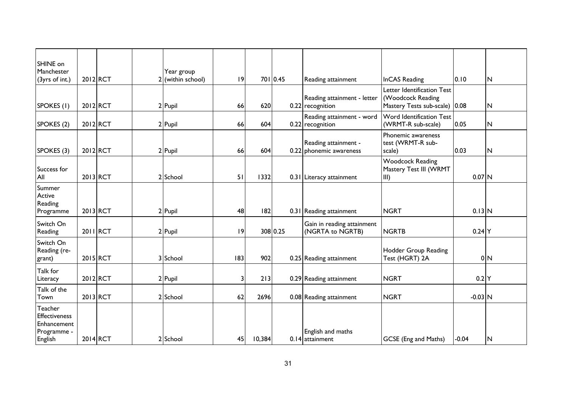| SHINE on<br>Manchester                                                   |          | Year group        |    |        |          |                                                 |                                                                                  |           |                         |
|--------------------------------------------------------------------------|----------|-------------------|----|--------|----------|-------------------------------------------------|----------------------------------------------------------------------------------|-----------|-------------------------|
| (3yrs of int.)                                                           | 2012 RCT | 2 (within school) | 9  |        | 701 0.45 | Reading attainment                              | <b>InCAS Reading</b>                                                             | 0.10      | $\overline{\mathsf{N}}$ |
| SPOKES (1)                                                               | 2012 RCT | 2 Pupil           | 66 | 620    |          | Reading attainment - letter<br>0.22 recognition | Letter Identification Test<br>(Woodcock Reading<br>Mastery Tests sub-scale) 0.08 |           | N                       |
| SPOKES (2)                                                               | 2012 RCT | 2 Pupil           | 66 | 604    |          | Reading attainment - word<br>0.22 recognition   | Word Identification Test<br>(WRMT-R sub-scale)                                   | 0.05      | $\overline{N}$          |
| SPOKES (3)                                                               | 2012 RCT | 2 Pupil           | 66 | 604    |          | Reading attainment -<br>0.22 phonemic awareness | Phonemic awareness<br>test (WRMT-R sub-<br>scale)                                | 0.03      | $\overline{\mathsf{N}}$ |
| Success for<br>All                                                       | 2013 RCT | 2 School          | 51 | 1332   |          | 0.31 Literacy attainment                        | <b>Woodcock Reading</b><br>Mastery Test III (WRMT<br>III)                        | $0.07$ N  |                         |
| Summer<br>Active<br>Reading<br>Programme                                 | 2013 RCT | 2 Pupil           | 48 | 182    |          | 0.31 Reading attainment                         | <b>NGRT</b>                                                                      | $0.13$ N  |                         |
| Switch On<br>Reading                                                     | 2011 RCT | 2 Pupil           | 9  |        | 308 0.25 | Gain in reading attainment<br>(NGRTA to NGRTB)  | <b>NGRTB</b>                                                                     | $0.24$ Y  |                         |
| Switch On<br>Reading (re-<br>grant)                                      | 2015 RCT | 3 School          | 83 | 902    |          | 0.25 Reading attainment                         | Hodder Group Reading<br>Test (HGRT) 2A                                           |           | 0 <sub>N</sub>          |
| Talk for<br>Literacy                                                     | 2012 RCT | 2 Pupil           | 3  | 213    |          | 0.29 Reading attainment                         | <b>NGRT</b>                                                                      | $0.2$ Y   |                         |
| Talk of the<br>Town                                                      | 2013 RCT | 2 School          | 62 | 2696   |          | 0.08 Reading attainment                         | <b>NGRT</b>                                                                      | $-0.03$ N |                         |
| Teacher<br><b>Effectiveness</b><br>Enhancement<br>Programme -<br>English | 2014 RCT | 2 School          | 45 | 10,384 |          | English and maths<br>0.14 attainment            | GCSE (Eng and Maths)                                                             | $-0.04$   | $\overline{\mathsf{N}}$ |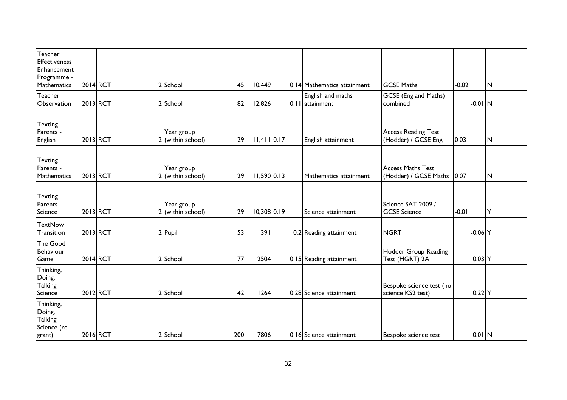| Teacher<br><b>Effectiveness</b><br>Enhancement<br>Programme - |          |    |                                 |     |               |                                        |                                                    |           |              |
|---------------------------------------------------------------|----------|----|---------------------------------|-----|---------------|----------------------------------------|----------------------------------------------------|-----------|--------------|
| Mathematics                                                   | 2014 RCT |    | 2 School                        | 45  | 10,449        | 0.14 Mathematics attainment            | <b>GCSE Maths</b>                                  | $-0.02$   | N            |
| Teacher<br>Observation                                        | 2013 RCT |    | 2 School                        | 82  | 12,826        | English and maths<br>$0.11$ attainment | GCSE (Eng and Maths)<br>combined                   | $-0.01$ N |              |
| <b>Texting</b><br>Parents -<br>English                        | 2013 RCT |    | Year group<br>2 (within school) | 29  | $11,411$ 0.17 | English attainment                     | <b>Access Reading Test</b><br>(Hodder) / GCSE Eng, | 0.03      | $\mathsf{N}$ |
| <b>Texting</b><br>Parents -<br>Mathematics                    | 2013 RCT | 21 | Year group<br>(within school)   | 29  | $11,590$ 0.13 | Mathematics attainment                 | <b>Access Maths Test</b><br>(Hodder) / GCSE Maths  | 0.07      | $\mathsf{N}$ |
| <b>Texting</b><br>Parents -<br>Science                        | 2013 RCT | 21 | Year group<br>(within school)   | 29  | $10,308$ 0.19 | Science attainment                     | Science SAT 2009 /<br><b>GCSE Science</b>          | $-0.01$   | Y            |
| <b>TextNow</b><br>Transition                                  | 2013 RCT |    | 2 Pupil                         | 53  | 391           | 0.2 Reading attainment                 | <b>NGRT</b>                                        | $-0.06$ Y |              |
| The Good<br>Behaviour<br>Game                                 | 2014 RCT |    | 2 School                        | 77  | 2504          | 0.15 Reading attainment                | Hodder Group Reading<br>Test (HGRT) 2A             | $0.03$ Y  |              |
| Thinking,<br>Doing,<br><b>Talking</b><br>Science              | 2012 RCT |    | 2 School                        | 42  | 1264          | 0.28 Science attainment                | Bespoke science test (no<br>science KS2 test)      | $0.22$ Y  |              |
| Thinking,<br>Doing,<br>Talking<br>Science (re-<br>grant)      | 2016 RCT |    | 2 School                        | 200 | 7806          | 0.16 Science attainment                | Bespoke science test                               | $0.01$ N  |              |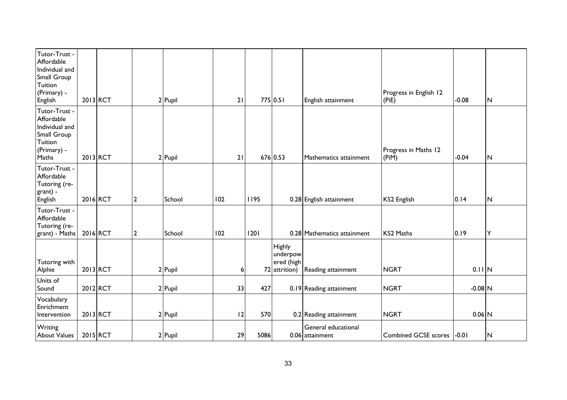| Tutor-Trust -<br>Affordable<br>Individual and<br>Small Group<br>Tuition<br>(Primary) -<br>English | 2013 RCT |                | 2 Pupil | 21  |           | 775 0.51                                          | English attainment                     | Progress in English 12<br>(PiE) | $-0.08$   | N                       |
|---------------------------------------------------------------------------------------------------|----------|----------------|---------|-----|-----------|---------------------------------------------------|----------------------------------------|---------------------------------|-----------|-------------------------|
| Tutor-Trust -<br>Affordable<br>Individual and<br>Small Group<br>Tuition<br>(Primary) -<br>Maths   | 2013 RCT |                | 2 Pupil | 21  |           | 676 0.53                                          | Mathematics attainment                 | Progress in Maths 12<br>(PiM)   | $-0.04$   | $\overline{\mathsf{N}}$ |
| Tutor-Trust -<br>Affordable<br>Tutoring (re-<br>grant) -<br>English                               | 2016 RCT | $\overline{2}$ | School  | 102 | 1195      |                                                   | 0.28 English attainment                | KS2 English                     | 0.14      | $\overline{N}$          |
| Tutor-Trust -<br>Affordable<br>Tutoring (re-<br>grant) - Maths                                    | 2016 RCT | $\overline{2}$ | School  | 102 | 1201      |                                                   | 0.28 Mathematics attainment            | <b>KS2 Maths</b>                | 0.19      | Y                       |
| Tutoring with<br>Alphie                                                                           | 2013 RCT |                | 2 Pupil |     | 6         | Highly<br>underpow<br>ered (high<br>72 attrition) | Reading attainment                     | <b>NGRT</b>                     | $0.11$ N  |                         |
| Units of<br>Sound                                                                                 | 2012 RCT |                | 2 Pupil | 33  | 427       |                                                   | 0.19 Reading attainment                | <b>NGRT</b>                     | $-0.08$ N |                         |
| Vocabulary<br>Enrichment<br>Intervention                                                          | 2013 RCT |                | 2 Pupil |     | 12<br>570 |                                                   | 0.2 Reading attainment                 | <b>NGRT</b>                     | $0.06$ N  |                         |
| Writing<br><b>About Values</b>                                                                    | 2015 RCT |                | 2 Pupil | 29  | 5086      |                                                   | General educational<br>0.06 attainment | Combined GCSE scores  -0.01     |           | N                       |